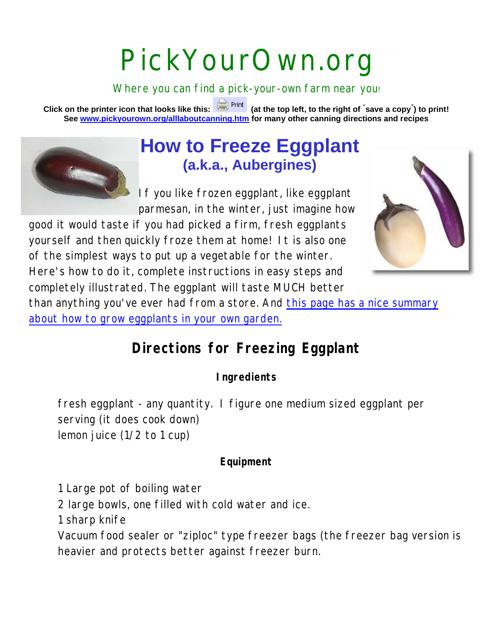# PickYourOwn.org

Where you can find a pick-your-own farm near you!

**Click on the printer icon that looks like this: (at the top left, to the right of " save a copy" ) to print! See www.pickyourown.org/alllaboutcanning.htm for many other canning directions and recipes**



# **How to Freeze Eggplant (a.k.a., Aubergines)**

If you like frozen eggplant, like eggplant parmesan, in the winter, just imagine how

good it would taste if you had picked a firm, fresh eggplants yourself and then quickly froze them at home! It is also one of the simplest ways to put up a vegetable for the winter. Here's how to do it, complete instructions in easy steps and completely illustrated. The eggplant will taste MUCH better



than anything you've ever had from a store. And this page has a nice summary about how to grow eggplants in your own garden.

## **Directions for Freezing Eggplant**

**Ingredients**

fresh eggplant - any quantity. I figure one medium sized eggplant per serving (it does cook down) lemon juice (1/2 to 1 cup)

#### **Equipment**

1 Large pot of boiling water

2 large bowls, one filled with cold water and ice.

1 sharp knife

Vacuum food sealer or "ziploc" type freezer bags (the freezer bag version is heavier and protects better against freezer burn.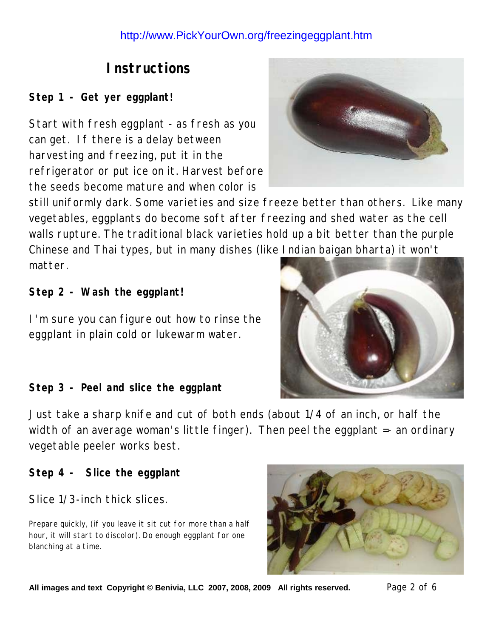## **Instructions**

**Step 1 - Get yer eggplant!**

Start with fresh eggplant - as fresh as you can get. If there is a delay between harvesting and freezing, put it in the refrigerator or put ice on it. Harvest before the seeds become mature and when color is



still uniformly dark. Some varieties and size freeze better than others. Like many vegetables, eggplants do become soft after freezing and shed water as the cell walls rupture. The traditional black varieties hold up a bit better than the purple Chinese and Thai types, but in many dishes (like Indian baigan bharta) it won't matter.

**Step 2 - Wash the eggplant!**

I'm sure you can figure out how to rinse the eggplant in plain cold or lukewarm water.



**Step 3 - Peel and slice the eggplant**

Just take a sharp knife and cut of both ends (about 1/4 of an inch, or half the width of an average woman's little finger). Then peel the eggplant =- an ordinary vegetable peeler works best.

**Step 4 - Slice the eggplant**

Slice 1/3-inch thick slices.

Prepare quickly, (if you leave it sit cut for more than a half hour, it will start to discolor). Do enough eggplant for one blanching at a time.



**All images and text Copyright © Benivia, LLC 2007, 2008, 2009 All rights reserved.** Page 2 of 6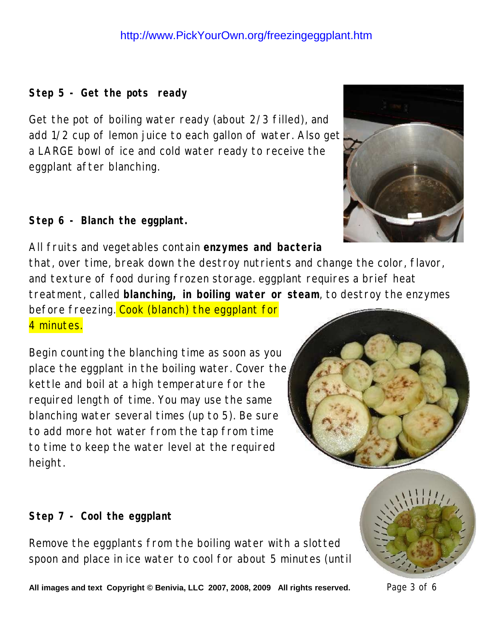**Step 5 - Get the pots ready**

Get the pot of boiling water ready (about 2/3 filled), and add 1/2 cup of lemon juice to each gallon of water. Also get a LARGE bowl of ice and cold water ready to receive the eggplant after blanching.

**Step 6 - Blanch the eggplant.** 



that, over time, break down the destroy nutrients and change the color, flavor, and texture of food during frozen storage. eggplant requires a brief heat treatment, called **blanching, in boiling water or steam**, to destroy the enzymes before freezing. Cook (blanch) the eggplant for

4 minutes.

Begin counting the blanching time as soon as you place the eggplant in the boiling water. Cover the kettle and boil at a high temperature for the required length of time. You may use the same blanching water several times (up to 5). Be sure to add more hot water from the tap from time to time to keep the water level at the required height.



**Step 7 - Cool the eggplant**

Remove the eggplants from the boiling water with a slotted spoon and place in ice water to cool for about 5 minutes (until



**All images and text Copyright © Benivia, LLC 2007, 2008, 2009 All rights reserved.** Page 3 of 6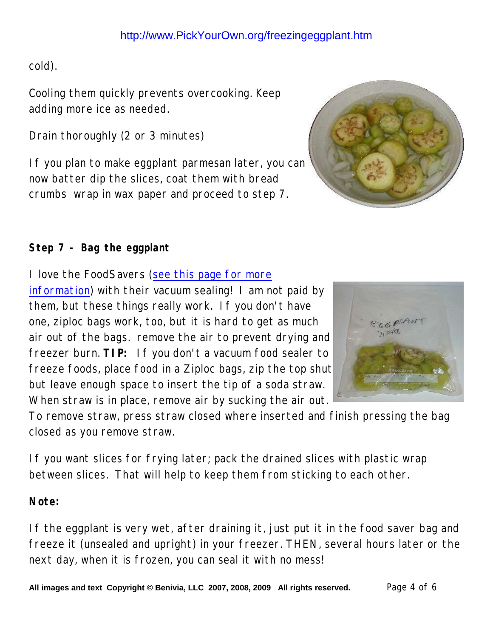cold).

Cooling them quickly prevents overcooking. Keep adding more ice as needed.

Drain thoroughly (2 or 3 minutes)

If you plan to make eggplant parmesan later, you can now batter dip the slices, coat them with bread crumbs wrap in wax paper and proceed to step 7.



#### **Step 7 - Bag the eggplant**

I love the FoodSavers (see this page for more

information) with their vacuum sealing! I am not paid by them, but these things really work. If you don't have one, ziploc bags work, too, but it is hard to get as much air out of the bags. remove the air to prevent drying and freezer burn. **TIP:** If you don't a vacuum food sealer to freeze foods, place food in a Ziploc bags, zip the top shut but leave enough space to insert the tip of a soda straw. When straw is in place, remove air by sucking the air out.

To remove straw, press straw closed where inserted and finish pressing the bag closed as you remove straw.

If you want slices for frying later; pack the drained slices with plastic wrap between slices. That will help to keep them from sticking to each other.

**Note:**

If the eggplant is very wet, after draining it, just put it in the food saver bag and freeze it (unsealed and upright) in your freezer. THEN, several hours later or the next day, when it is frozen, you can seal it with no mess!

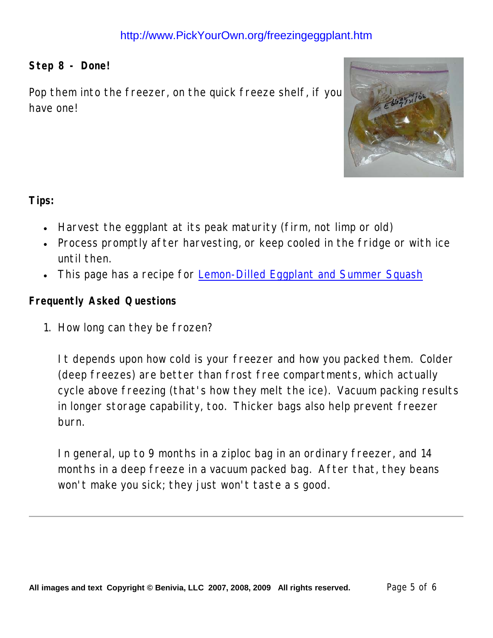#### **Step 8 - Done!**

Pop them into the freezer, on the quick freeze shelf, if you have one!



**Tips:**

- Harvest the eggplant at its peak maturity (firm, not limp or old)
- Process promptly after harvesting, or keep cooled in the fridge or with ice until then.
- This page has a recipe for Lemon-Dilled Eggplant and Summer Squash

**Frequently Asked Questions**

1. How long can they be frozen?

It depends upon how cold is your freezer and how you packed them. Colder (deep freezes) are better than frost free compartments, which actually cycle above freezing (that's how they melt the ice). Vacuum packing results in longer storage capability, too. Thicker bags also help prevent freezer burn.

In general, up to 9 months in a ziploc bag in an ordinary freezer, and 14 months in a deep freeze in a vacuum packed bag. After that, they beans won't make you sick; they just won't taste a s good.